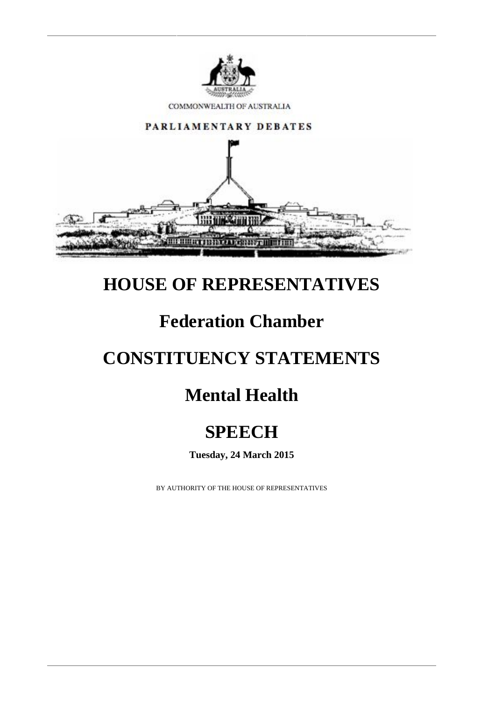

COMMONWEALTH OF AUSTRALIA



## **HOUSE OF REPRESENTATIVES**

## **Federation Chamber**

# **CONSTITUENCY STATEMENTS**

# **Mental Health**

# **SPEECH**

**Tuesday, 24 March 2015**

BY AUTHORITY OF THE HOUSE OF REPRESENTATIVES